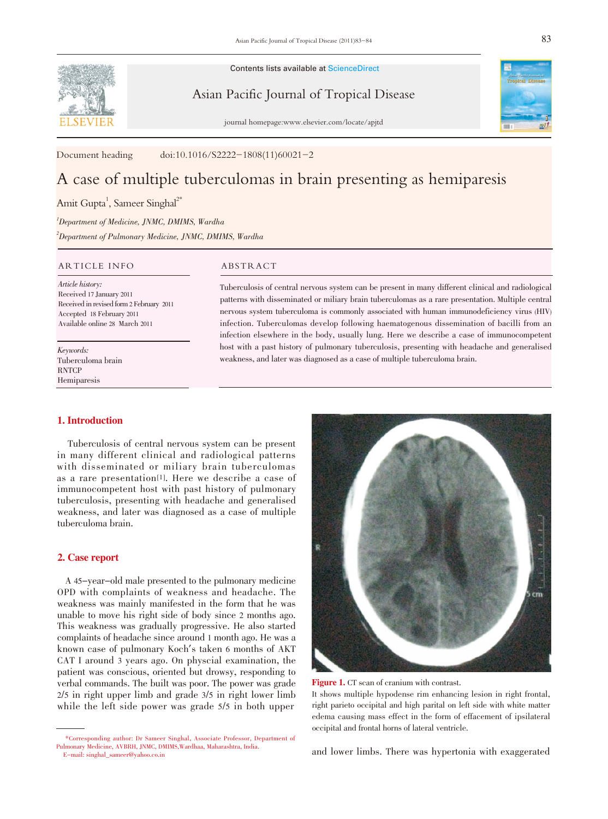Contents lists available at ScienceDirect

Asian Pacific Journal of Tropical Disease

journal homepage:www.elsevier.com/locate/apjtd

Document heading doi:10.1016/S2222-1808(11)60021-2

# A case of multiple tuberculomas in brain presenting as hemiparesis

Amit Gupta<sup>1</sup>, Sameer Singhal<sup>2\*</sup>

1 Department of Medicine, JNMC, DMIMS, Wardha 2 Department of Pulmonary Medicine, JNMC, DMIMS, Wardha

## ARTICLE INFO ABSTRACT

Article history: Received 17 January 2011 Received in revised form 2 February 2011 Accepted 18 February 2011 Available online 28 March 2011

Keywords: Tuberculoma brain **RNTCP** Hemiparesis

Tuberculosis of central nervous system can be present in many different clinical and radiological patterns with disseminated or miliary brain tuberculomas as a rare presentation. Multiple central nervous system tuberculoma is commonly associated with human immunodeficiency virus (HIV) infection. Tuberculomas develop following haematogenous dissemination of bacilli from an infection elsewhere in the body, usually lung. Here we describe a case of immunocompetent host with a past history of pulmonary tuberculosis, presenting with headache and generalised weakness, and later was diagnosed as a case of multiple tuberculoma brain.

### 1. Introduction

Tuberculosis of central nervous system can be present in many different clinical and radiological patterns with disseminated or miliary brain tuberculomas as a rare presentation[1]. Here we describe a case of immunocompetent host with past history of pulmonary tuberculosis, presenting with headache and generalised weakness, and later was diagnosed as a case of multiple tuberculoma brain.

### 2. Case report

A 45-year-old male presented to the pulmonary medicine OPD with complaints of weakness and headache. The weakness was mainly manifested in the form that he was unable to move his right side of body since 2 months ago. This weakness was gradually progressive. He also started complaints of headache since around 1 month ago. He was a known case of pulmonary Koch's taken <sup>6</sup> months of AKT CAT I around 3 years ago. On physcial examination, the patient was conscious, oriented but drowsy, responding to verbal commands. The built was poor. The power was grade 2/5 in right upper limb and grade 3/5 in right lower limb while the left side power was grade 5/5 in both upper



Figure 1. CT scan of cranium with contrast.

It shows multiple hypodense rim enhancing lesion in right frontal, right parieto occipital and high parital on left side with white matter edema causing mass effect in the form of effacement of ipsilateral occipital and frontal horns of lateral ventricle.

and lower limbs. There was hypertonia with exaggerated

<sup>\*</sup>Corresponding author: Dr Sameer Singhal, Associate Professor, Department of Pulmonary Medicine, AVBRH, JNMC, DMIMS,Wardhaa, Maharashtra, India. E-mail: singhal\_sameer@yahoo.co.in